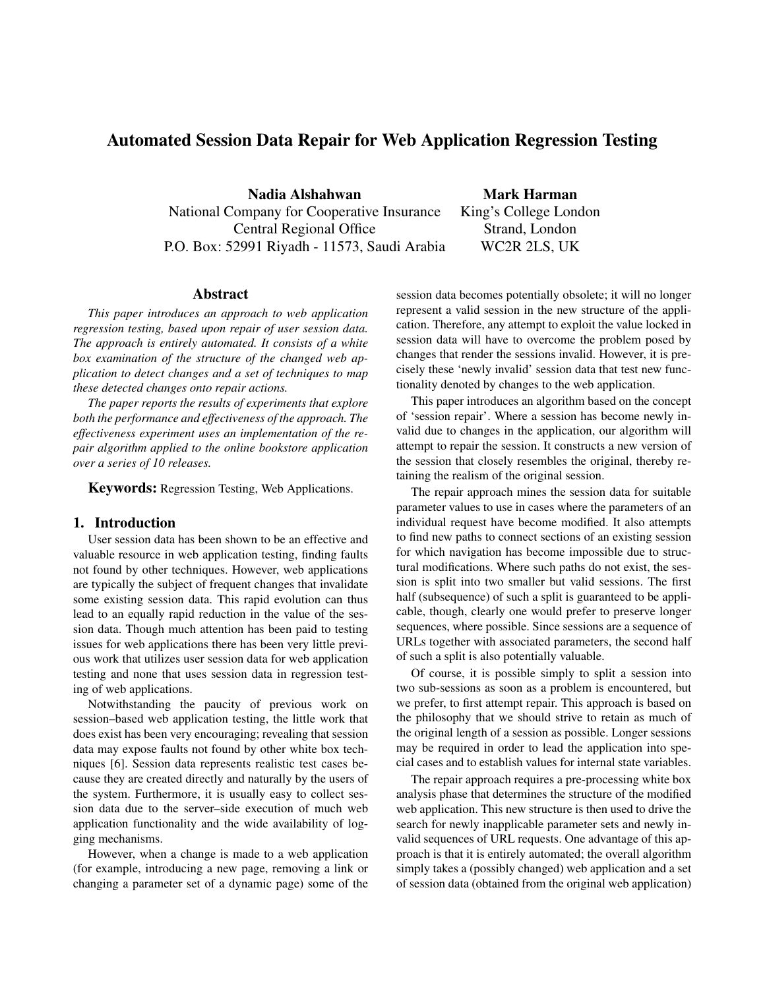# Automated Session Data Repair for Web Application Regression Testing

Nadia Alshahwan Mark Harman National Company for Cooperative Insurance King's College London Central Regional Office Strand, London P.O. Box: 52991 Riyadh - 11573, Saudi Arabia WC2R 2LS, UK

## Abstract

*This paper introduces an approach to web application regression testing, based upon repair of user session data. The approach is entirely automated. It consists of a white box examination of the structure of the changed web application to detect changes and a set of techniques to map these detected changes onto repair actions.*

*The paper reports the results of experiments that explore both the performance and effectiveness of the approach. The effectiveness experiment uses an implementation of the repair algorithm applied to the online bookstore application over a series of 10 releases.*

Keywords: Regression Testing, Web Applications.

# 1. Introduction

User session data has been shown to be an effective and valuable resource in web application testing, finding faults not found by other techniques. However, web applications are typically the subject of frequent changes that invalidate some existing session data. This rapid evolution can thus lead to an equally rapid reduction in the value of the session data. Though much attention has been paid to testing issues for web applications there has been very little previous work that utilizes user session data for web application testing and none that uses session data in regression testing of web applications.

Notwithstanding the paucity of previous work on session–based web application testing, the little work that does exist has been very encouraging; revealing that session data may expose faults not found by other white box techniques [6]. Session data represents realistic test cases because they are created directly and naturally by the users of the system. Furthermore, it is usually easy to collect session data due to the server–side execution of much web application functionality and the wide availability of logging mechanisms.

However, when a change is made to a web application (for example, introducing a new page, removing a link or changing a parameter set of a dynamic page) some of the session data becomes potentially obsolete; it will no longer represent a valid session in the new structure of the application. Therefore, any attempt to exploit the value locked in session data will have to overcome the problem posed by changes that render the sessions invalid. However, it is precisely these 'newly invalid' session data that test new functionality denoted by changes to the web application.

This paper introduces an algorithm based on the concept of 'session repair'. Where a session has become newly invalid due to changes in the application, our algorithm will attempt to repair the session. It constructs a new version of the session that closely resembles the original, thereby retaining the realism of the original session.

The repair approach mines the session data for suitable parameter values to use in cases where the parameters of an individual request have become modified. It also attempts to find new paths to connect sections of an existing session for which navigation has become impossible due to structural modifications. Where such paths do not exist, the session is split into two smaller but valid sessions. The first half (subsequence) of such a split is guaranteed to be applicable, though, clearly one would prefer to preserve longer sequences, where possible. Since sessions are a sequence of URLs together with associated parameters, the second half of such a split is also potentially valuable.

Of course, it is possible simply to split a session into two sub-sessions as soon as a problem is encountered, but we prefer, to first attempt repair. This approach is based on the philosophy that we should strive to retain as much of the original length of a session as possible. Longer sessions may be required in order to lead the application into special cases and to establish values for internal state variables.

The repair approach requires a pre-processing white box analysis phase that determines the structure of the modified web application. This new structure is then used to drive the search for newly inapplicable parameter sets and newly invalid sequences of URL requests. One advantage of this approach is that it is entirely automated; the overall algorithm simply takes a (possibly changed) web application and a set of session data (obtained from the original web application)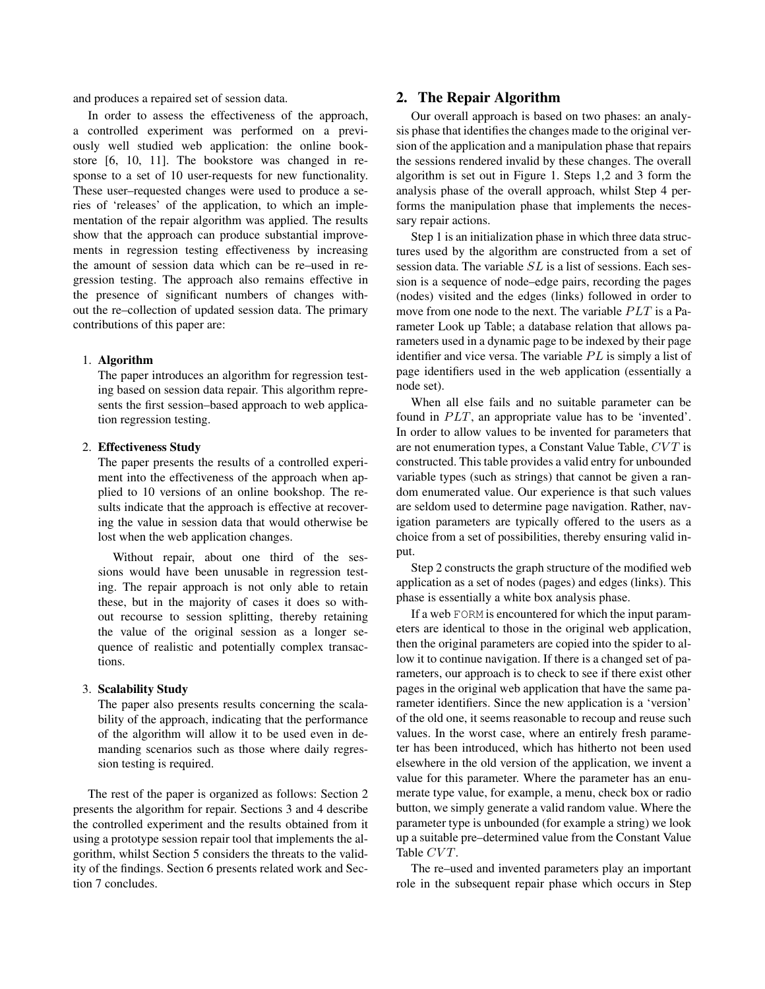and produces a repaired set of session data.

In order to assess the effectiveness of the approach, a controlled experiment was performed on a previously well studied web application: the online bookstore [6, 10, 11]. The bookstore was changed in response to a set of 10 user-requests for new functionality. These user–requested changes were used to produce a series of 'releases' of the application, to which an implementation of the repair algorithm was applied. The results show that the approach can produce substantial improvements in regression testing effectiveness by increasing the amount of session data which can be re–used in regression testing. The approach also remains effective in the presence of significant numbers of changes without the re–collection of updated session data. The primary contributions of this paper are:

#### 1. Algorithm

The paper introduces an algorithm for regression testing based on session data repair. This algorithm represents the first session–based approach to web application regression testing.

#### 2. Effectiveness Study

The paper presents the results of a controlled experiment into the effectiveness of the approach when applied to 10 versions of an online bookshop. The results indicate that the approach is effective at recovering the value in session data that would otherwise be lost when the web application changes.

Without repair, about one third of the sessions would have been unusable in regression testing. The repair approach is not only able to retain these, but in the majority of cases it does so without recourse to session splitting, thereby retaining the value of the original session as a longer sequence of realistic and potentially complex transactions.

#### 3. Scalability Study

The paper also presents results concerning the scalability of the approach, indicating that the performance of the algorithm will allow it to be used even in demanding scenarios such as those where daily regression testing is required.

The rest of the paper is organized as follows: Section 2 presents the algorithm for repair. Sections 3 and 4 describe the controlled experiment and the results obtained from it using a prototype session repair tool that implements the algorithm, whilst Section 5 considers the threats to the validity of the findings. Section 6 presents related work and Section 7 concludes.

#### 2. The Repair Algorithm

Our overall approach is based on two phases: an analysis phase that identifies the changes made to the original version of the application and a manipulation phase that repairs the sessions rendered invalid by these changes. The overall algorithm is set out in Figure 1. Steps 1,2 and 3 form the analysis phase of the overall approach, whilst Step 4 performs the manipulation phase that implements the necessary repair actions.

Step 1 is an initialization phase in which three data structures used by the algorithm are constructed from a set of session data. The variable  $SL$  is a list of sessions. Each session is a sequence of node–edge pairs, recording the pages (nodes) visited and the edges (links) followed in order to move from one node to the next. The variable  $PLT$  is a Parameter Look up Table; a database relation that allows parameters used in a dynamic page to be indexed by their page identifier and vice versa. The variable  $PL$  is simply a list of page identifiers used in the web application (essentially a node set).

When all else fails and no suitable parameter can be found in  $PLT$ , an appropriate value has to be 'invented'. In order to allow values to be invented for parameters that are not enumeration types, a Constant Value Table, CVT is constructed. This table provides a valid entry for unbounded variable types (such as strings) that cannot be given a random enumerated value. Our experience is that such values are seldom used to determine page navigation. Rather, navigation parameters are typically offered to the users as a choice from a set of possibilities, thereby ensuring valid input.

Step 2 constructs the graph structure of the modified web application as a set of nodes (pages) and edges (links). This phase is essentially a white box analysis phase.

If a web FORM is encountered for which the input parameters are identical to those in the original web application, then the original parameters are copied into the spider to allow it to continue navigation. If there is a changed set of parameters, our approach is to check to see if there exist other pages in the original web application that have the same parameter identifiers. Since the new application is a 'version' of the old one, it seems reasonable to recoup and reuse such values. In the worst case, where an entirely fresh parameter has been introduced, which has hitherto not been used elsewhere in the old version of the application, we invent a value for this parameter. Where the parameter has an enumerate type value, for example, a menu, check box or radio button, we simply generate a valid random value. Where the parameter type is unbounded (for example a string) we look up a suitable pre–determined value from the Constant Value Table CVT.

The re–used and invented parameters play an important role in the subsequent repair phase which occurs in Step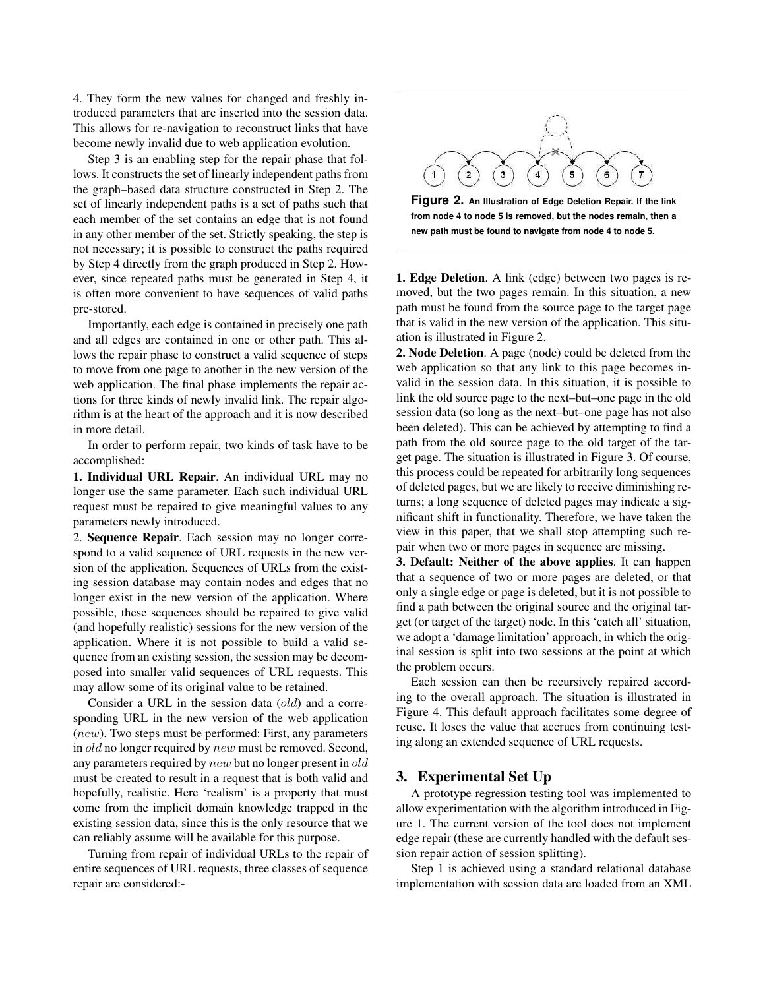4. They form the new values for changed and freshly introduced parameters that are inserted into the session data. This allows for re-navigation to reconstruct links that have become newly invalid due to web application evolution.

Step 3 is an enabling step for the repair phase that follows. It constructs the set of linearly independent paths from the graph–based data structure constructed in Step 2. The set of linearly independent paths is a set of paths such that each member of the set contains an edge that is not found in any other member of the set. Strictly speaking, the step is not necessary; it is possible to construct the paths required by Step 4 directly from the graph produced in Step 2. However, since repeated paths must be generated in Step 4, it is often more convenient to have sequences of valid paths pre-stored.

Importantly, each edge is contained in precisely one path and all edges are contained in one or other path. This allows the repair phase to construct a valid sequence of steps to move from one page to another in the new version of the web application. The final phase implements the repair actions for three kinds of newly invalid link. The repair algorithm is at the heart of the approach and it is now described in more detail.

In order to perform repair, two kinds of task have to be accomplished:

1. Individual URL Repair. An individual URL may no longer use the same parameter. Each such individual URL request must be repaired to give meaningful values to any parameters newly introduced.

2. Sequence Repair. Each session may no longer correspond to a valid sequence of URL requests in the new version of the application. Sequences of URLs from the existing session database may contain nodes and edges that no longer exist in the new version of the application. Where possible, these sequences should be repaired to give valid (and hopefully realistic) sessions for the new version of the application. Where it is not possible to build a valid sequence from an existing session, the session may be decomposed into smaller valid sequences of URL requests. This may allow some of its original value to be retained.

Consider a URL in the session data (old) and a corresponding URL in the new version of the web application (new). Two steps must be performed: First, any parameters in  $old$  no longer required by  $new$  must be removed. Second, any parameters required by new but no longer present in old must be created to result in a request that is both valid and hopefully, realistic. Here 'realism' is a property that must come from the implicit domain knowledge trapped in the existing session data, since this is the only resource that we can reliably assume will be available for this purpose.

Turning from repair of individual URLs to the repair of entire sequences of URL requests, three classes of sequence repair are considered:-



**Figure 2. An Illustration of Edge Deletion Repair. If the link from node 4 to node 5 is removed, but the nodes remain, then a new path must be found to navigate from node 4 to node 5.**

1. Edge Deletion. A link (edge) between two pages is removed, but the two pages remain. In this situation, a new path must be found from the source page to the target page that is valid in the new version of the application. This situation is illustrated in Figure 2.

2. Node Deletion. A page (node) could be deleted from the web application so that any link to this page becomes invalid in the session data. In this situation, it is possible to link the old source page to the next–but–one page in the old session data (so long as the next–but–one page has not also been deleted). This can be achieved by attempting to find a path from the old source page to the old target of the target page. The situation is illustrated in Figure 3. Of course, this process could be repeated for arbitrarily long sequences of deleted pages, but we are likely to receive diminishing returns; a long sequence of deleted pages may indicate a significant shift in functionality. Therefore, we have taken the view in this paper, that we shall stop attempting such repair when two or more pages in sequence are missing.

3. Default: Neither of the above applies. It can happen that a sequence of two or more pages are deleted, or that only a single edge or page is deleted, but it is not possible to find a path between the original source and the original target (or target of the target) node. In this 'catch all' situation, we adopt a 'damage limitation' approach, in which the original session is split into two sessions at the point at which the problem occurs.

Each session can then be recursively repaired according to the overall approach. The situation is illustrated in Figure 4. This default approach facilitates some degree of reuse. It loses the value that accrues from continuing testing along an extended sequence of URL requests.

## 3. Experimental Set Up

A prototype regression testing tool was implemented to allow experimentation with the algorithm introduced in Figure 1. The current version of the tool does not implement edge repair (these are currently handled with the default session repair action of session splitting).

Step 1 is achieved using a standard relational database implementation with session data are loaded from an XML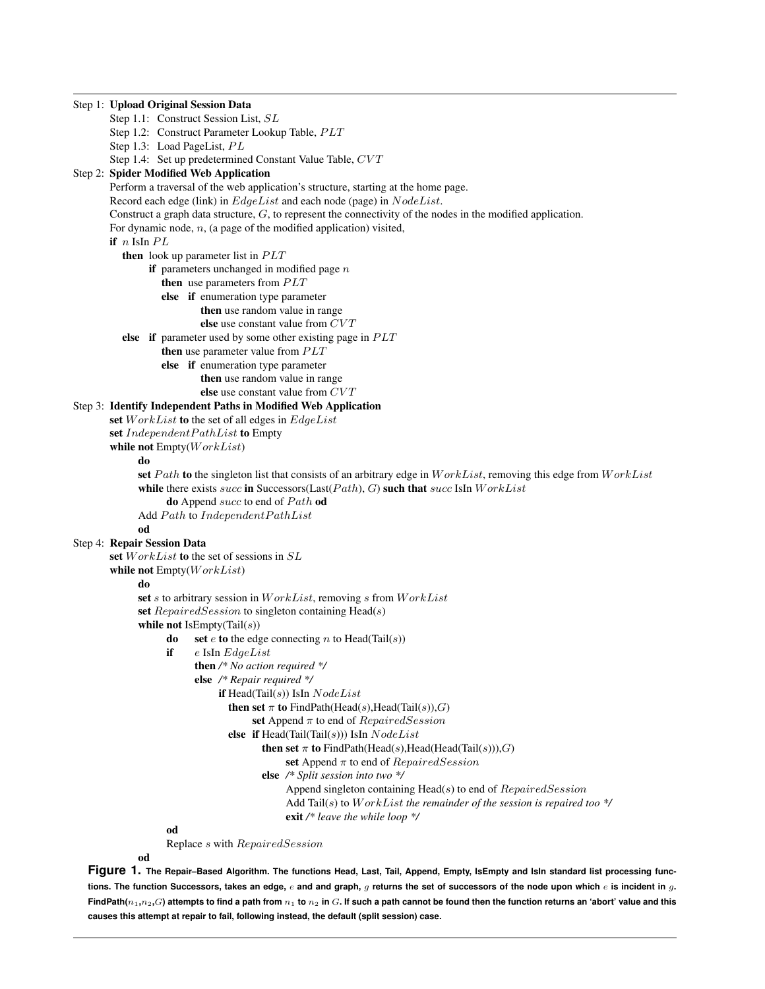Step 1: Upload Original Session Data Step 1.1: Construct Session List, SL Step 1.2: Construct Parameter Lookup Table, PLT Step 1.3: Load PageList, PL Step 1.4: Set up predetermined Constant Value Table,  $CVT$ Step 2: Spider Modified Web Application Perform a traversal of the web application's structure, starting at the home page. Record each edge (link) in  $EdgeList$  and each node (page) in  $NodeList$ . Construct a graph data structure, G, to represent the connectivity of the nodes in the modified application. For dynamic node,  $n$ , (a page of the modified application) visited, if  $n$  Isln  $PL$ then look up parameter list in  $PLT$ if parameters unchanged in modified page  $n$ then use parameters from  $PLT$ else if enumeration type parameter then use random value in range else use constant value from  $CVT$ else if parameter used by some other existing page in  $PLT$ then use parameter value from  $PLT$ else if enumeration type parameter then use random value in range else use constant value from  $CVT$ Step 3: Identify Independent Paths in Modified Web Application set  $WorkList$  to the set of all edges in  $EdgeList$ set IndependentPathList to Empty while not  $Empty(WorkList)$ do set Path to the singleton list that consists of an arbitrary edge in  $WorkList$ , removing this edge from  $WorkList$ while there exists succ in Successors(Last( $Path$ ),  $G$ ) such that succ IsIn  $WorkList$ do Append succ to end of  $Path$  od Add Path to IndependentPathList od Step 4: Repair Session Data set  $WorkList$  to the set of sessions in  $SL$ while not  $Empty(WorkList)$ do set s to arbitrary session in  $WorkList$ , removing s from  $WorkList$ set  $RepairedSession$  to singleton containing  $Head(s)$ while not  $IsEmpty(Tail(s))$ **do** set *e* to the edge connecting *n* to Head(Tail(s)) if  $e$  Isln  $EdgeList$ then */\* No action required \*/* else */\* Repair required \*/* if  $Head(Tail(s))$  IsIn  $NodeList$ then set  $\pi$  to FindPath(Head(s), Head(Tail(s)), G) set Append  $\pi$  to end of  $RepairedSession$ else if Head(Tail(Tail(s))) IsIn  $NodeList$ then set  $\pi$  to FindPath(Head(s), Head(Head(Tail(s))), G) set Append  $\pi$  to end of  $RepairedSession$ else */\* Split session into two \*/* Append singleton containing  $Head(s)$  to end of  $RepairedSession$ Add Tail(s) to  $WorkList$  *the remainder of the session is repaired too*  $*/$ exit */\* leave the while loop \*/* od Replace s with RepairedSession od

**Figure 1. The Repair–Based Algorithm. The functions Head, Last, Tail, Append, Empty, IsEmpty and IsIn standard list processing functions. The function Successors, takes an edge,** e **and and graph,** g **returns the set of successors of the node upon which** e **is incident in** g**.** FindPath( $n_1, n_2, G$ ) attempts to find a path from  $n_1$  to  $n_2$  in  $G$ . If such a path cannot be found then the function returns an 'abort' value and this **causes this attempt at repair to fail, following instead, the default (split session) case.**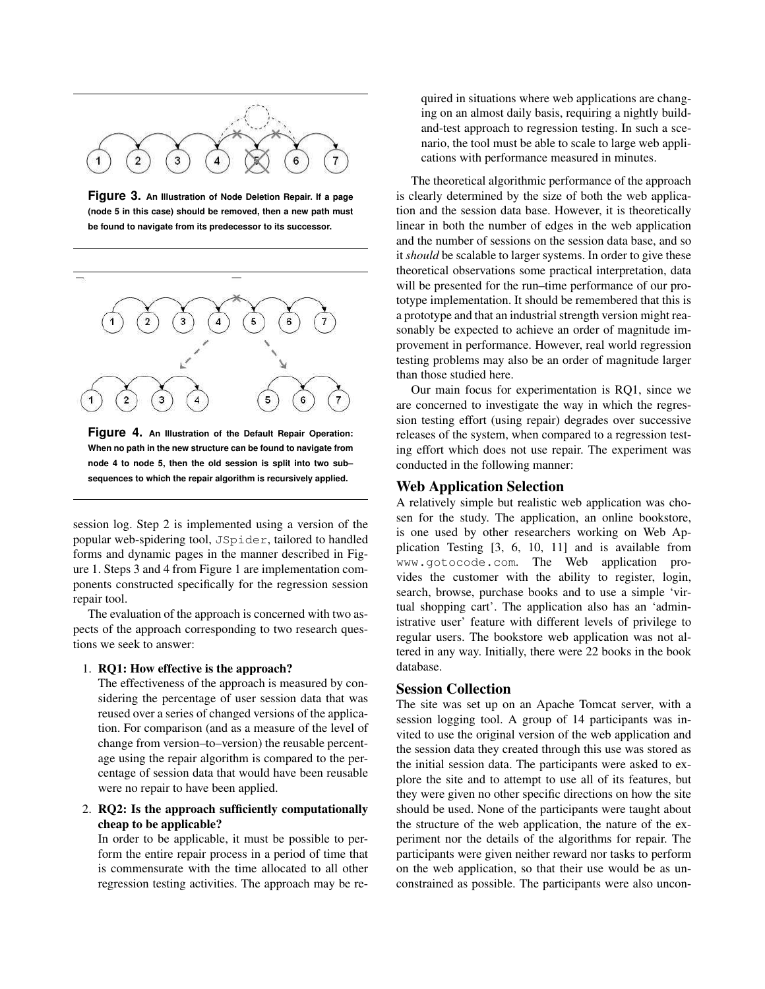

**Figure 3. An Illustration of Node Deletion Repair. If a page (node 5 in this case) should be removed, then a new path must be found to navigate from its predecessor to its successor.**



**Figure 4. An Illustration of the Default Repair Operation: When no path in the new structure can be found to navigate from node 4 to node 5, then the old session is split into two sub– sequences to which the repair algorithm is recursively applied.**

session log. Step 2 is implemented using a version of the popular web-spidering tool, JSpider, tailored to handled forms and dynamic pages in the manner described in Figure 1. Steps 3 and 4 from Figure 1 are implementation components constructed specifically for the regression session repair tool.

The evaluation of the approach is concerned with two aspects of the approach corresponding to two research questions we seek to answer:

#### 1. RQ1: How effective is the approach?

The effectiveness of the approach is measured by considering the percentage of user session data that was reused over a series of changed versions of the application. For comparison (and as a measure of the level of change from version–to–version) the reusable percentage using the repair algorithm is compared to the percentage of session data that would have been reusable were no repair to have been applied.

# 2. RQ2: Is the approach sufficiently computationally cheap to be applicable?

In order to be applicable, it must be possible to perform the entire repair process in a period of time that is commensurate with the time allocated to all other regression testing activities. The approach may be required in situations where web applications are changing on an almost daily basis, requiring a nightly buildand-test approach to regression testing. In such a scenario, the tool must be able to scale to large web applications with performance measured in minutes.

The theoretical algorithmic performance of the approach is clearly determined by the size of both the web application and the session data base. However, it is theoretically linear in both the number of edges in the web application and the number of sessions on the session data base, and so it *should* be scalable to larger systems. In order to give these theoretical observations some practical interpretation, data will be presented for the run–time performance of our prototype implementation. It should be remembered that this is a prototype and that an industrial strength version might reasonably be expected to achieve an order of magnitude improvement in performance. However, real world regression testing problems may also be an order of magnitude larger than those studied here.

Our main focus for experimentation is RQ1, since we are concerned to investigate the way in which the regression testing effort (using repair) degrades over successive releases of the system, when compared to a regression testing effort which does not use repair. The experiment was conducted in the following manner:

# Web Application Selection

A relatively simple but realistic web application was chosen for the study. The application, an online bookstore, is one used by other researchers working on Web Application Testing [3, 6, 10, 11] and is available from www.gotocode.com. The Web application provides the customer with the ability to register, login, search, browse, purchase books and to use a simple 'virtual shopping cart'. The application also has an 'administrative user' feature with different levels of privilege to regular users. The bookstore web application was not altered in any way. Initially, there were 22 books in the book database.

#### Session Collection

The site was set up on an Apache Tomcat server, with a session logging tool. A group of 14 participants was invited to use the original version of the web application and the session data they created through this use was stored as the initial session data. The participants were asked to explore the site and to attempt to use all of its features, but they were given no other specific directions on how the site should be used. None of the participants were taught about the structure of the web application, the nature of the experiment nor the details of the algorithms for repair. The participants were given neither reward nor tasks to perform on the web application, so that their use would be as unconstrained as possible. The participants were also uncon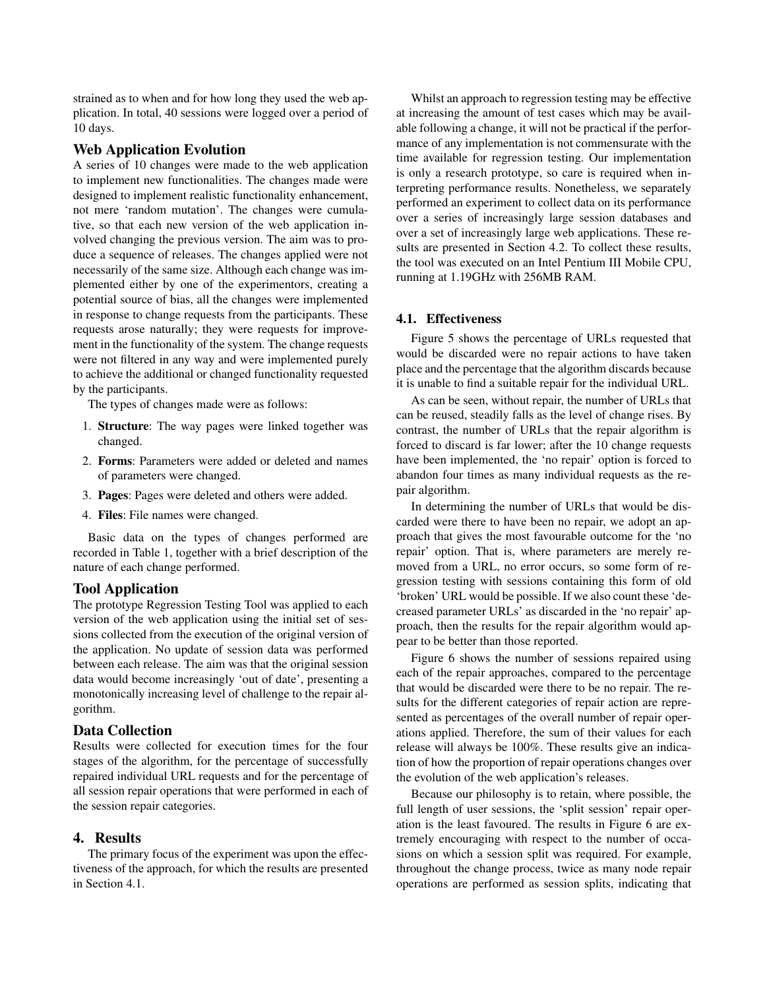strained as to when and for how long they used the web application. In total, 40 sessions were logged over a period of 10 days.

## Web Application Evolution

A series of 10 changes were made to the web application to implement new functionalities. The changes made were designed to implement realistic functionality enhancement, not mere 'random mutation'. The changes were cumulative, so that each new version of the web application involved changing the previous version. The aim was to produce a sequence of releases. The changes applied were not necessarily of the same size. Although each change was implemented either by one of the experimentors, creating a potential source of bias, all the changes were implemented in response to change requests from the participants. These requests arose naturally; they were requests for improvement in the functionality of the system. The change requests were not filtered in any way and were implemented purely to achieve the additional or changed functionality requested by the participants.

The types of changes made were as follows:

- 1. Structure: The way pages were linked together was changed.
- 2. Forms: Parameters were added or deleted and names of parameters were changed.
- 3. Pages: Pages were deleted and others were added.
- 4. Files: File names were changed.

Basic data on the types of changes performed are recorded in Table 1, together with a brief description of the nature of each change performed.

#### Tool Application

The prototype Regression Testing Tool was applied to each version of the web application using the initial set of sessions collected from the execution of the original version of the application. No update of session data was performed between each release. The aim was that the original session data would become increasingly 'out of date', presenting a monotonically increasing level of challenge to the repair algorithm.

# Data Collection

Results were collected for execution times for the four stages of the algorithm, for the percentage of successfully repaired individual URL requests and for the percentage of all session repair operations that were performed in each of the session repair categories.

## 4. Results

The primary focus of the experiment was upon the effectiveness of the approach, for which the results are presented in Section 4.1.

Whilst an approach to regression testing may be effective at increasing the amount of test cases which may be available following a change, it will not be practical if the performance of any implementation is not commensurate with the time available for regression testing. Our implementation is only a research prototype, so care is required when interpreting performance results. Nonetheless, we separately performed an experiment to collect data on its performance over a series of increasingly large session databases and over a set of increasingly large web applications. These results are presented in Section 4.2. To collect these results, the tool was executed on an Intel Pentium III Mobile CPU, running at 1.19GHz with 256MB RAM.

#### 4.1. Effectiveness

Figure 5 shows the percentage of URLs requested that would be discarded were no repair actions to have taken place and the percentage that the algorithm discards because it is unable to find a suitable repair for the individual URL.

As can be seen, without repair, the number of URLs that can be reused, steadily falls as the level of change rises. By contrast, the number of URLs that the repair algorithm is forced to discard is far lower; after the 10 change requests have been implemented, the 'no repair' option is forced to abandon four times as many individual requests as the repair algorithm.

In determining the number of URLs that would be discarded were there to have been no repair, we adopt an approach that gives the most favourable outcome for the 'no repair' option. That is, where parameters are merely removed from a URL, no error occurs, so some form of regression testing with sessions containing this form of old 'broken' URL would be possible. If we also count these 'decreased parameter URLs' as discarded in the 'no repair' approach, then the results for the repair algorithm would appear to be better than those reported.

Figure 6 shows the number of sessions repaired using each of the repair approaches, compared to the percentage that would be discarded were there to be no repair. The results for the different categories of repair action are represented as percentages of the overall number of repair operations applied. Therefore, the sum of their values for each release will always be 100%. These results give an indication of how the proportion of repair operations changes over the evolution of the web application's releases.

Because our philosophy is to retain, where possible, the full length of user sessions, the 'split session' repair operation is the least favoured. The results in Figure 6 are extremely encouraging with respect to the number of occasions on which a session split was required. For example, throughout the change process, twice as many node repair operations are performed as session splits, indicating that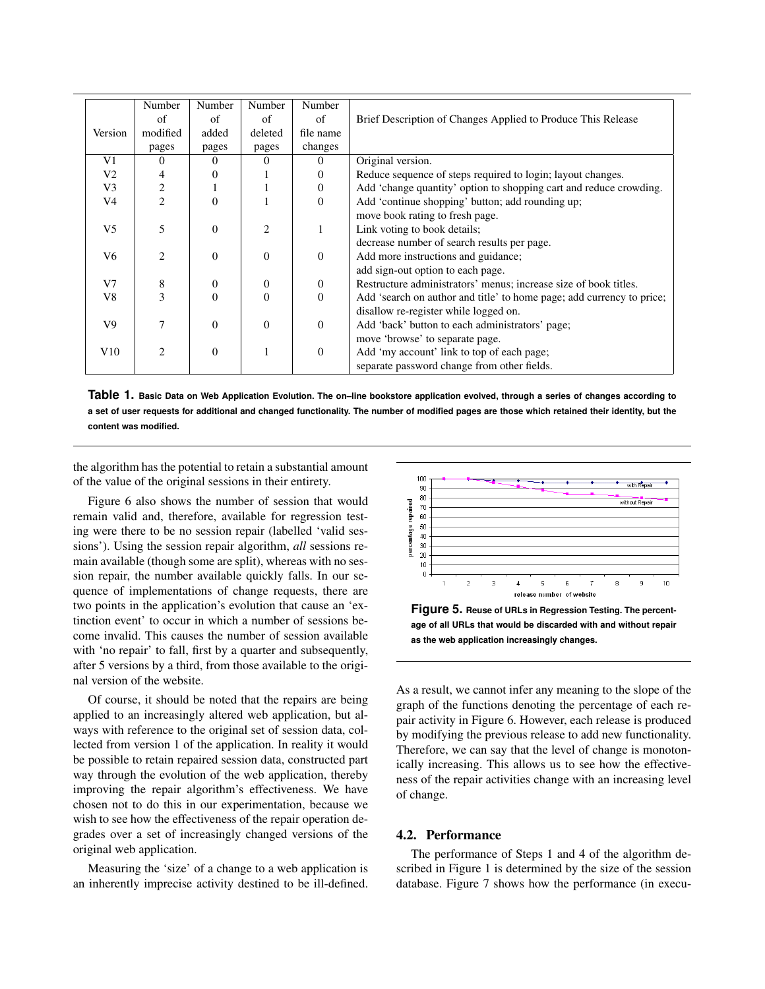|                | Number         | Number     | Number                                                                      | Number       |                                                                       |  |
|----------------|----------------|------------|-----------------------------------------------------------------------------|--------------|-----------------------------------------------------------------------|--|
|                | of             | $\sigma$ f | of                                                                          | of           | Brief Description of Changes Applied to Produce This Release          |  |
| Version        | modified       | added      | deleted                                                                     | file name    |                                                                       |  |
|                | pages          | pages      | pages                                                                       | changes      |                                                                       |  |
| V <sub>1</sub> | 0              | $\theta$   | $\theta$                                                                    | $^{(1)}$     | Original version.                                                     |  |
| V <sub>2</sub> | 4              | 0          |                                                                             | 0            | Reduce sequence of steps required to login; layout changes.           |  |
| V3             | $\overline{c}$ |            |                                                                             | $\mathbf{0}$ | Add 'change quantity' option to shopping cart and reduce crowding.    |  |
| V4             | $\overline{c}$ | $\Omega$   |                                                                             | $\Omega$     | Add 'continue shopping' button; add rounding up;                      |  |
|                |                |            |                                                                             |              | move book rating to fresh page.                                       |  |
| V <sub>5</sub> | 5              | $\Omega$   | $\mathfrak{D}$                                                              |              | Link voting to book details;                                          |  |
|                |                |            |                                                                             |              | decrease number of search results per page.                           |  |
| V6             | $\overline{c}$ | $\Omega$   | $\Omega$                                                                    | $\Omega$     | Add more instructions and guidance;                                   |  |
|                |                |            |                                                                             |              | add sign-out option to each page.                                     |  |
| V7             | 8              | $\Omega$   | $\Omega$                                                                    | $\mathbf{0}$ | Restructure administrators' menus; increase size of book titles.      |  |
| V8             | 3              | $\Omega$   | $\Omega$                                                                    | $\Omega$     | Add 'search on author and title' to home page; add currency to price; |  |
|                |                |            |                                                                             |              | disallow re-register while logged on.                                 |  |
| V9             | 7              | $\Omega$   | $\Omega$<br>$\mathbf{0}$<br>Add 'back' button to each administrators' page; |              |                                                                       |  |
|                |                |            |                                                                             |              | move 'browse' to separate page.                                       |  |
| V10            | $\overline{c}$ | $\Omega$   |                                                                             | $\Omega$     | Add 'my account' link to top of each page;                            |  |
|                |                |            |                                                                             |              | separate password change from other fields.                           |  |

**Table 1. Basic Data on Web Application Evolution. The on–line bookstore application evolved, through a series of changes according to a set of user requests for additional and changed functionality. The number of modified pages are those which retained their identity, but the content was modified.**

the algorithm has the potential to retain a substantial amount of the value of the original sessions in their entirety.

Figure 6 also shows the number of session that would remain valid and, therefore, available for regression testing were there to be no session repair (labelled 'valid sessions'). Using the session repair algorithm, *all* sessions remain available (though some are split), whereas with no session repair, the number available quickly falls. In our sequence of implementations of change requests, there are two points in the application's evolution that cause an 'extinction event' to occur in which a number of sessions become invalid. This causes the number of session available with 'no repair' to fall, first by a quarter and subsequently, after 5 versions by a third, from those available to the original version of the website.

Of course, it should be noted that the repairs are being applied to an increasingly altered web application, but always with reference to the original set of session data, collected from version 1 of the application. In reality it would be possible to retain repaired session data, constructed part way through the evolution of the web application, thereby improving the repair algorithm's effectiveness. We have chosen not to do this in our experimentation, because we wish to see how the effectiveness of the repair operation degrades over a set of increasingly changed versions of the original web application.

Measuring the 'size' of a change to a web application is an inherently imprecise activity destined to be ill-defined.



**as the web application increasingly changes.**

As a result, we cannot infer any meaning to the slope of the graph of the functions denoting the percentage of each repair activity in Figure 6. However, each release is produced by modifying the previous release to add new functionality. Therefore, we can say that the level of change is monotonically increasing. This allows us to see how the effectiveness of the repair activities change with an increasing level of change.

#### 4.2. Performance

The performance of Steps 1 and 4 of the algorithm described in Figure 1 is determined by the size of the session database. Figure 7 shows how the performance (in execu-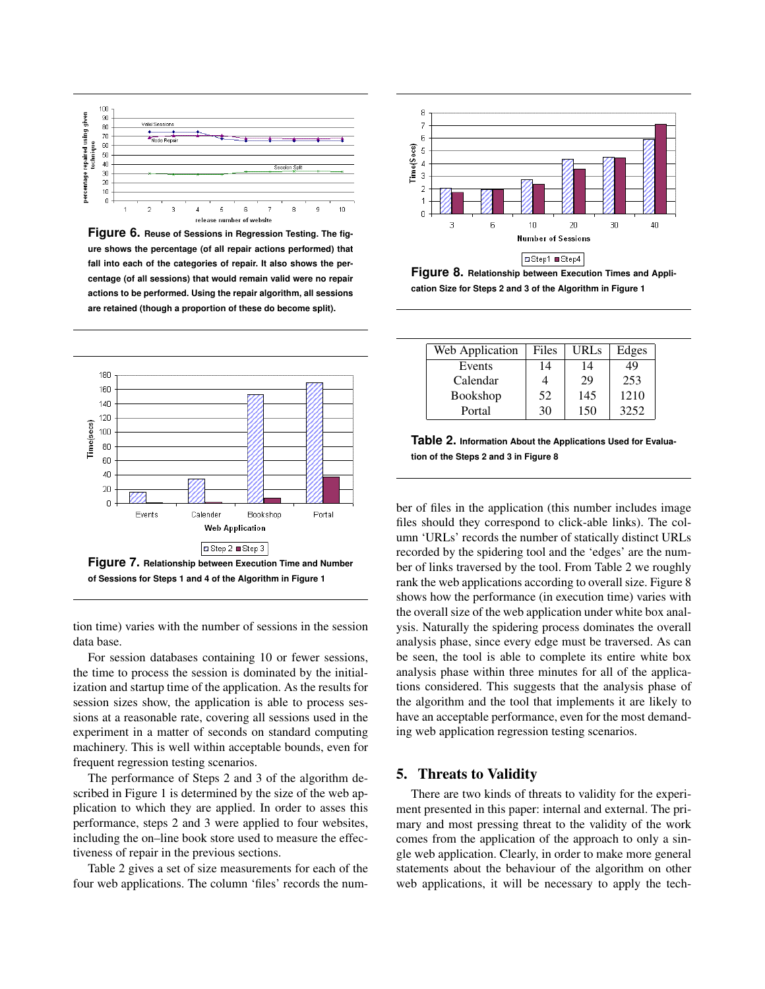

**Figure 6. Reuse of Sessions in Regression Testing. The figure shows the percentage (of all repair actions performed) that fall into each of the categories of repair. It also shows the percentage (of all sessions) that would remain valid were no repair actions to be performed. Using the repair algorithm, all sessions are retained (though a proportion of these do become split).**



tion time) varies with the number of sessions in the session data base.

For session databases containing 10 or fewer sessions, the time to process the session is dominated by the initialization and startup time of the application. As the results for session sizes show, the application is able to process sessions at a reasonable rate, covering all sessions used in the experiment in a matter of seconds on standard computing machinery. This is well within acceptable bounds, even for frequent regression testing scenarios.

The performance of Steps 2 and 3 of the algorithm described in Figure 1 is determined by the size of the web application to which they are applied. In order to asses this performance, steps 2 and 3 were applied to four websites, including the on–line book store used to measure the effectiveness of repair in the previous sections.

Table 2 gives a set of size measurements for each of the four web applications. The column 'files' records the num-



**Figure 8. Relationship between Execution Times and Application Size for Steps 2 and 3 of the Algorithm in Figure 1**

| Web Application | Files | <b>URLs</b> | Edges |
|-----------------|-------|-------------|-------|
| Events          | 14    | 14          | 49    |
| Calendar        |       | 29          | 253   |
| <b>Bookshop</b> | 52    | 145         | 1210  |
| Portal          | 30    | 150         | 3252  |

**Table 2. Information About the Applications Used for Evaluation of the Steps 2 and 3 in Figure 8**

ber of files in the application (this number includes image files should they correspond to click-able links). The column 'URLs' records the number of statically distinct URLs recorded by the spidering tool and the 'edges' are the number of links traversed by the tool. From Table 2 we roughly rank the web applications according to overall size. Figure 8 shows how the performance (in execution time) varies with the overall size of the web application under white box analysis. Naturally the spidering process dominates the overall analysis phase, since every edge must be traversed. As can be seen, the tool is able to complete its entire white box analysis phase within three minutes for all of the applications considered. This suggests that the analysis phase of the algorithm and the tool that implements it are likely to have an acceptable performance, even for the most demanding web application regression testing scenarios.

## 5. Threats to Validity

There are two kinds of threats to validity for the experiment presented in this paper: internal and external. The primary and most pressing threat to the validity of the work comes from the application of the approach to only a single web application. Clearly, in order to make more general statements about the behaviour of the algorithm on other web applications, it will be necessary to apply the tech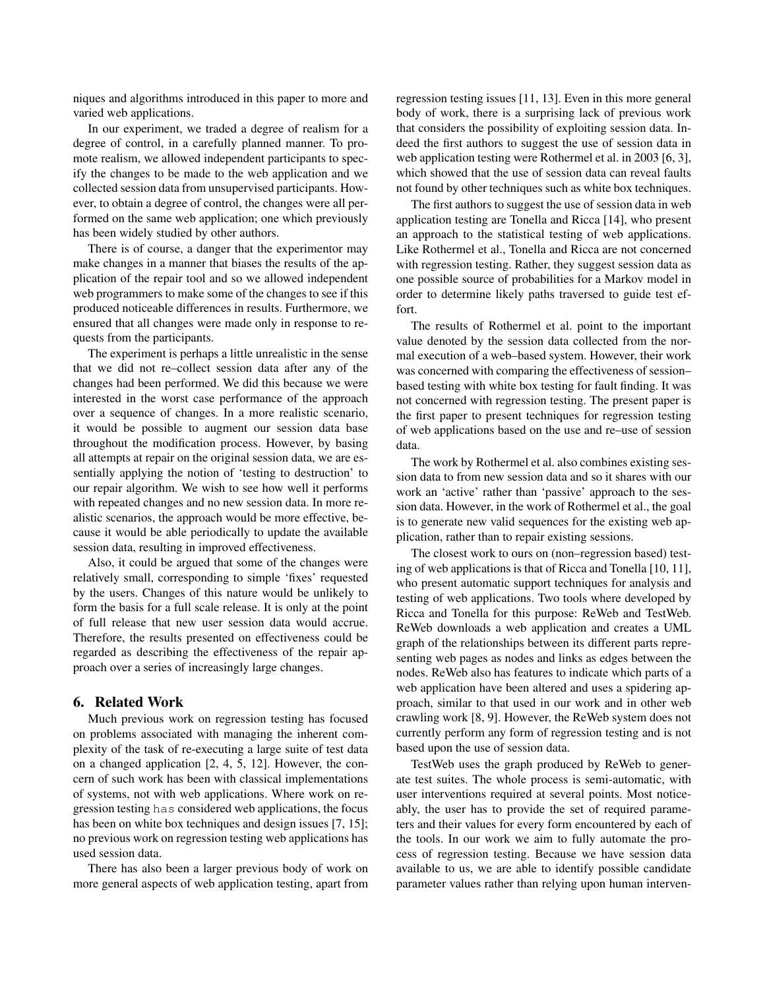niques and algorithms introduced in this paper to more and varied web applications.

In our experiment, we traded a degree of realism for a degree of control, in a carefully planned manner. To promote realism, we allowed independent participants to specify the changes to be made to the web application and we collected session data from unsupervised participants. However, to obtain a degree of control, the changes were all performed on the same web application; one which previously has been widely studied by other authors.

There is of course, a danger that the experimentor may make changes in a manner that biases the results of the application of the repair tool and so we allowed independent web programmers to make some of the changes to see if this produced noticeable differences in results. Furthermore, we ensured that all changes were made only in response to requests from the participants.

The experiment is perhaps a little unrealistic in the sense that we did not re–collect session data after any of the changes had been performed. We did this because we were interested in the worst case performance of the approach over a sequence of changes. In a more realistic scenario, it would be possible to augment our session data base throughout the modification process. However, by basing all attempts at repair on the original session data, we are essentially applying the notion of 'testing to destruction' to our repair algorithm. We wish to see how well it performs with repeated changes and no new session data. In more realistic scenarios, the approach would be more effective, because it would be able periodically to update the available session data, resulting in improved effectiveness.

Also, it could be argued that some of the changes were relatively small, corresponding to simple 'fixes' requested by the users. Changes of this nature would be unlikely to form the basis for a full scale release. It is only at the point of full release that new user session data would accrue. Therefore, the results presented on effectiveness could be regarded as describing the effectiveness of the repair approach over a series of increasingly large changes.

## 6. Related Work

Much previous work on regression testing has focused on problems associated with managing the inherent complexity of the task of re-executing a large suite of test data on a changed application [2, 4, 5, 12]. However, the concern of such work has been with classical implementations of systems, not with web applications. Where work on regression testing has considered web applications, the focus has been on white box techniques and design issues [7, 15]; no previous work on regression testing web applications has used session data.

There has also been a larger previous body of work on more general aspects of web application testing, apart from regression testing issues [11, 13]. Even in this more general body of work, there is a surprising lack of previous work that considers the possibility of exploiting session data. Indeed the first authors to suggest the use of session data in web application testing were Rothermel et al. in 2003 [6, 3], which showed that the use of session data can reveal faults not found by other techniques such as white box techniques.

The first authors to suggest the use of session data in web application testing are Tonella and Ricca [14], who present an approach to the statistical testing of web applications. Like Rothermel et al., Tonella and Ricca are not concerned with regression testing. Rather, they suggest session data as one possible source of probabilities for a Markov model in order to determine likely paths traversed to guide test effort.

The results of Rothermel et al. point to the important value denoted by the session data collected from the normal execution of a web–based system. However, their work was concerned with comparing the effectiveness of session– based testing with white box testing for fault finding. It was not concerned with regression testing. The present paper is the first paper to present techniques for regression testing of web applications based on the use and re–use of session data.

The work by Rothermel et al. also combines existing session data to from new session data and so it shares with our work an 'active' rather than 'passive' approach to the session data. However, in the work of Rothermel et al., the goal is to generate new valid sequences for the existing web application, rather than to repair existing sessions.

The closest work to ours on (non–regression based) testing of web applications is that of Ricca and Tonella [10, 11], who present automatic support techniques for analysis and testing of web applications. Two tools where developed by Ricca and Tonella for this purpose: ReWeb and TestWeb. ReWeb downloads a web application and creates a UML graph of the relationships between its different parts representing web pages as nodes and links as edges between the nodes. ReWeb also has features to indicate which parts of a web application have been altered and uses a spidering approach, similar to that used in our work and in other web crawling work [8, 9]. However, the ReWeb system does not currently perform any form of regression testing and is not based upon the use of session data.

TestWeb uses the graph produced by ReWeb to generate test suites. The whole process is semi-automatic, with user interventions required at several points. Most noticeably, the user has to provide the set of required parameters and their values for every form encountered by each of the tools. In our work we aim to fully automate the process of regression testing. Because we have session data available to us, we are able to identify possible candidate parameter values rather than relying upon human interven